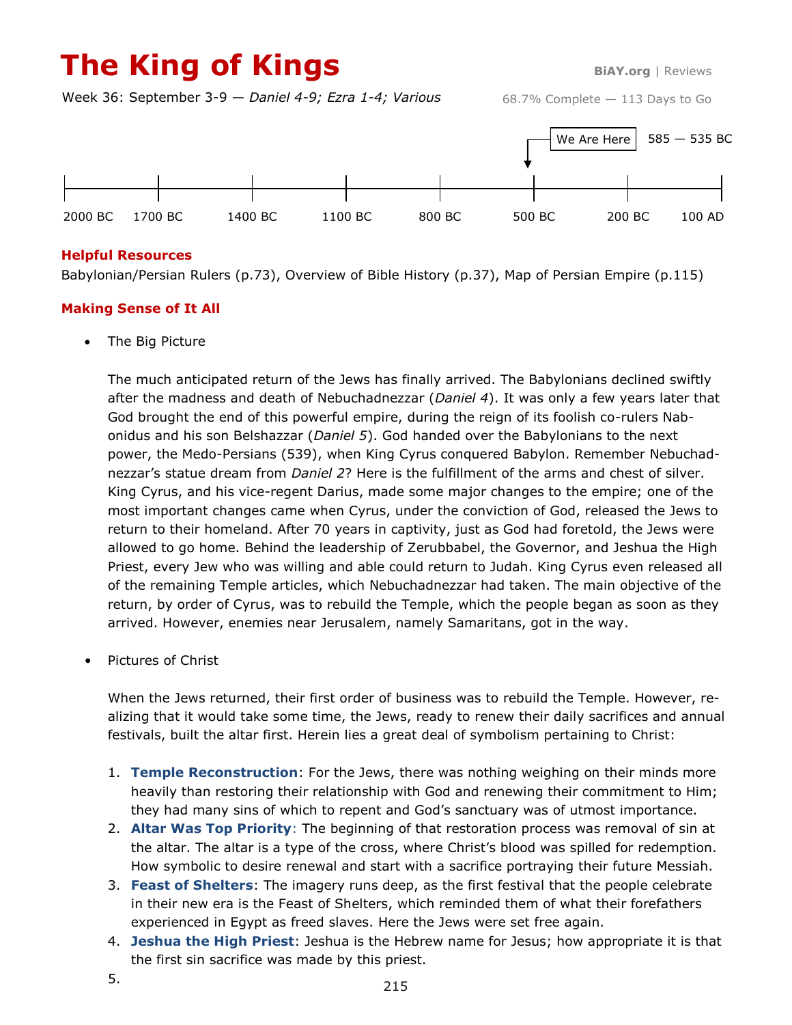# **The King of Kings BiAY.org** | Reviews

Week 36: September 3-9 — *Daniel 4-9; Ezra 1-4; Various*



### **Helpful Resources**

Babylonian/Persian Rulers (p.73), Overview of Bible History (p.37), Map of Persian Empire (p.115)

## **Making Sense of It All**

• The Big Picture

The much anticipated return of the Jews has finally arrived. The Babylonians declined swiftly after the madness and death of Nebuchadnezzar (*Daniel 4*). It was only a few years later that God brought the end of this powerful empire, during the reign of its foolish co-rulers Nabonidus and his son Belshazzar (*Daniel 5*). God handed over the Babylonians to the next power, the Medo-Persians (539), when King Cyrus conquered Babylon. Remember Nebuchadnezzar's statue dream from *Daniel 2*? Here is the fulfillment of the arms and chest of silver. King Cyrus, and his vice-regent Darius, made some major changes to the empire; one of the most important changes came when Cyrus, under the conviction of God, released the Jews to return to their homeland. After 70 years in captivity, just as God had foretold, the Jews were allowed to go home. Behind the leadership of Zerubbabel, the Governor, and Jeshua the High Priest, every Jew who was willing and able could return to Judah. King Cyrus even released all of the remaining Temple articles, which Nebuchadnezzar had taken. The main objective of the return, by order of Cyrus, was to rebuild the Temple, which the people began as soon as they arrived. However, enemies near Jerusalem, namely Samaritans, got in the way.

• Pictures of Christ

When the Jews returned, their first order of business was to rebuild the Temple. However, realizing that it would take some time, the Jews, ready to renew their daily sacrifices and annual festivals, built the altar first. Herein lies a great deal of symbolism pertaining to Christ:

- 1. **Temple Reconstruction**: For the Jews, there was nothing weighing on their minds more heavily than restoring their relationship with God and renewing their commitment to Him; they had many sins of which to repent and God's sanctuary was of utmost importance.
- 2. **Altar Was Top Priority**: The beginning of that restoration process was removal of sin at the altar. The altar is a type of the cross, where Christ's blood was spilled for redemption. How symbolic to desire renewal and start with a sacrifice portraying their future Messiah.
- 3. **Feast of Shelters**: The imagery runs deep, as the first festival that the people celebrate in their new era is the Feast of Shelters, which reminded them of what their forefathers experienced in Egypt as freed slaves. Here the Jews were set free again.
- 4. **Jeshua the High Priest**: Jeshua is the Hebrew name for Jesus; how appropriate it is that the first sin sacrifice was made by this priest.
- 5.